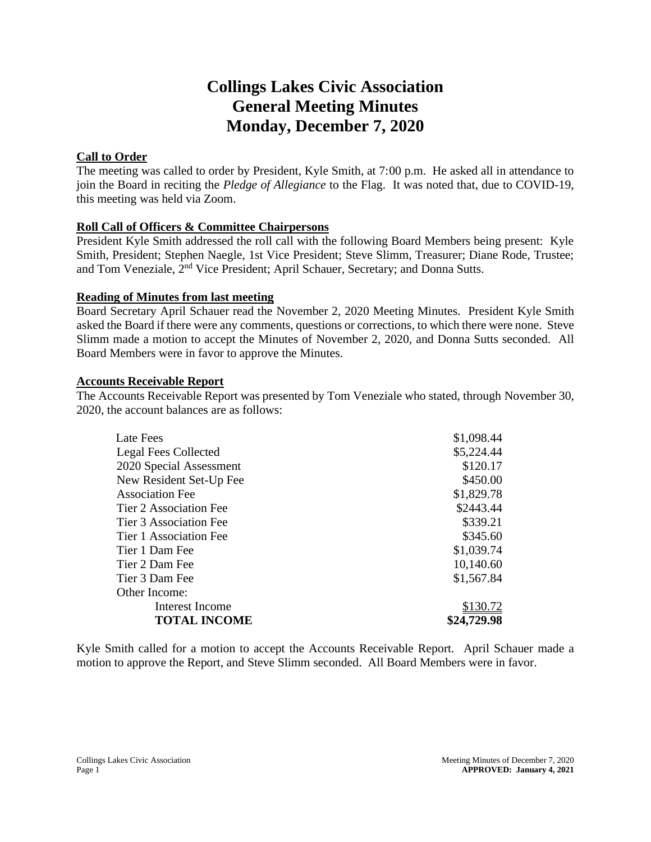# **Collings Lakes Civic Association General Meeting Minutes Monday, December 7, 2020**

## **Call to Order**

The meeting was called to order by President, Kyle Smith, at 7:00 p.m. He asked all in attendance to join the Board in reciting the *Pledge of Allegiance* to the Flag. It was noted that, due to COVID-19, this meeting was held via Zoom.

## **Roll Call of Officers & Committee Chairpersons**

President Kyle Smith addressed the roll call with the following Board Members being present: Kyle Smith, President; Stephen Naegle, 1st Vice President; Steve Slimm, Treasurer; Diane Rode, Trustee; and Tom Veneziale,  $2^{nd}$  Vice President; April Schauer, Secretary; and Donna Sutts.

## **Reading of Minutes from last meeting**

Board Secretary April Schauer read the November 2, 2020 Meeting Minutes. President Kyle Smith asked the Board if there were any comments, questions or corrections, to which there were none. Steve Slimm made a motion to accept the Minutes of November 2, 2020, and Donna Sutts seconded. All Board Members were in favor to approve the Minutes.

## **Accounts Receivable Report**

The Accounts Receivable Report was presented by Tom Veneziale who stated, through November 30, 2020, the account balances are as follows:

| \$2443.44   |
|-------------|
| \$339.21    |
| \$345.60    |
| \$1,039.74  |
| 10,140.60   |
| \$1,567.84  |
|             |
| \$130.72    |
| \$24,729.98 |
|             |

Kyle Smith called for a motion to accept the Accounts Receivable Report. April Schauer made a motion to approve the Report, and Steve Slimm seconded. All Board Members were in favor.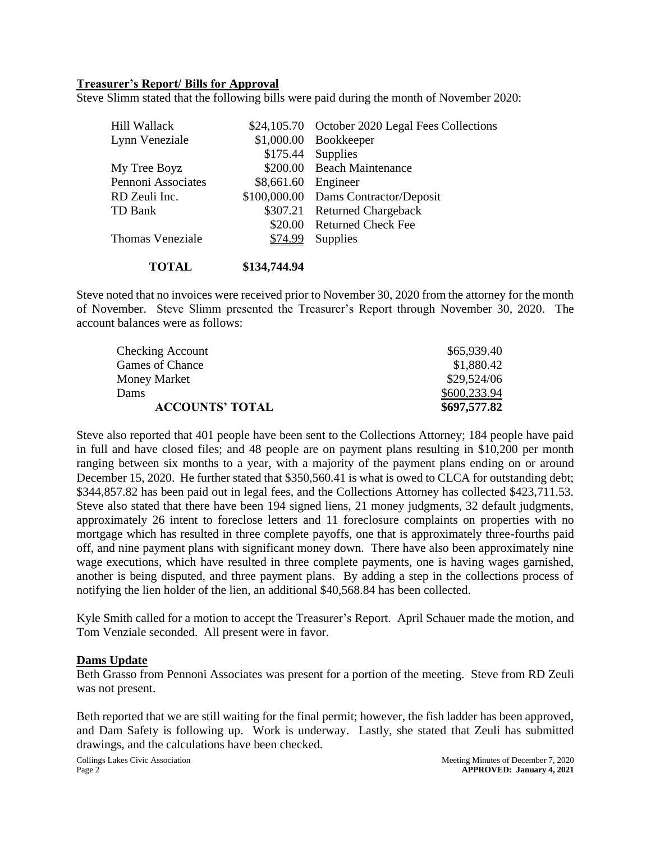#### **Treasurer's Report/ Bills for Approval**

Steve Slimm stated that the following bills were paid during the month of November 2020:

| Hill Wallack            |                     | \$24,105.70 October 2020 Legal Fees Collections |
|-------------------------|---------------------|-------------------------------------------------|
| Lynn Veneziale          |                     | \$1,000.00 Bookkeeper                           |
|                         |                     | \$175.44 Supplies                               |
| My Tree Boyz            |                     | \$200.00 Beach Maintenance                      |
| Pennoni Associates      | \$8,661.60 Engineer |                                                 |
| RD Zeuli Inc.           |                     | \$100,000.00 Dams Contractor/Deposit            |
| TD Bank                 |                     | \$307.21 Returned Chargeback                    |
|                         |                     | \$20.00 Returned Check Fee                      |
| <b>Thomas Veneziale</b> | \$74.99             | Supplies                                        |
|                         |                     |                                                 |

#### **TOTAL \$134,744.94**

Steve noted that no invoices were received prior to November 30, 2020 from the attorney for the month of November. Steve Slimm presented the Treasurer's Report through November 30, 2020. The account balances were as follows:

| \$697,577.82 |
|--------------|
| \$600,233.94 |
| \$29,524/06  |
| \$1,880.42   |
| \$65,939.40  |
|              |

Steve also reported that 401 people have been sent to the Collections Attorney; 184 people have paid in full and have closed files; and 48 people are on payment plans resulting in \$10,200 per month ranging between six months to a year, with a majority of the payment plans ending on or around December 15, 2020. He further stated that \$350,560.41 is what is owed to CLCA for outstanding debt; \$344,857.82 has been paid out in legal fees, and the Collections Attorney has collected \$423,711.53. Steve also stated that there have been 194 signed liens, 21 money judgments, 32 default judgments, approximately 26 intent to foreclose letters and 11 foreclosure complaints on properties with no mortgage which has resulted in three complete payoffs, one that is approximately three-fourths paid off, and nine payment plans with significant money down. There have also been approximately nine wage executions, which have resulted in three complete payments, one is having wages garnished, another is being disputed, and three payment plans. By adding a step in the collections process of notifying the lien holder of the lien, an additional \$40,568.84 has been collected.

Kyle Smith called for a motion to accept the Treasurer's Report. April Schauer made the motion, and Tom Venziale seconded. All present were in favor.

#### **Dams Update**

Beth Grasso from Pennoni Associates was present for a portion of the meeting. Steve from RD Zeuli was not present.

Beth reported that we are still waiting for the final permit; however, the fish ladder has been approved, and Dam Safety is following up. Work is underway. Lastly, she stated that Zeuli has submitted drawings, and the calculations have been checked.

Collings Lakes Civic Association and the collings Lakes Civic Association Meeting Minutes of December 7, 2020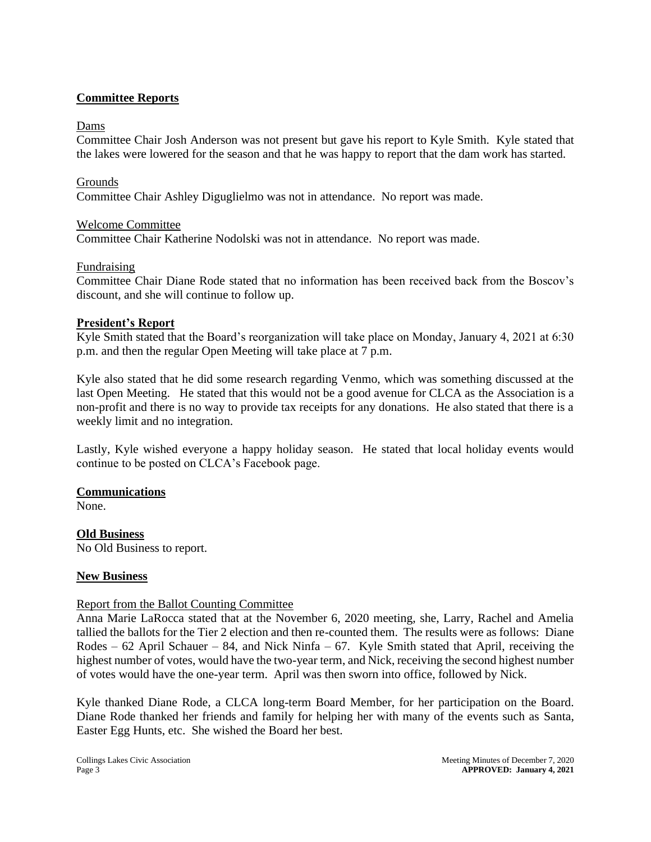### **Committee Reports**

#### Dams

Committee Chair Josh Anderson was not present but gave his report to Kyle Smith. Kyle stated that the lakes were lowered for the season and that he was happy to report that the dam work has started.

#### Grounds

Committee Chair Ashley Diguglielmo was not in attendance. No report was made.

#### Welcome Committee

Committee Chair Katherine Nodolski was not in attendance. No report was made.

#### Fundraising

Committee Chair Diane Rode stated that no information has been received back from the Boscov's discount, and she will continue to follow up.

#### **President's Report**

Kyle Smith stated that the Board's reorganization will take place on Monday, January 4, 2021 at 6:30 p.m. and then the regular Open Meeting will take place at 7 p.m.

Kyle also stated that he did some research regarding Venmo, which was something discussed at the last Open Meeting. He stated that this would not be a good avenue for CLCA as the Association is a non-profit and there is no way to provide tax receipts for any donations. He also stated that there is a weekly limit and no integration.

Lastly, Kyle wished everyone a happy holiday season. He stated that local holiday events would continue to be posted on CLCA's Facebook page.

### **Communications**

None.

**Old Business**  No Old Business to report.

### **New Business**

#### Report from the Ballot Counting Committee

Anna Marie LaRocca stated that at the November 6, 2020 meeting, she, Larry, Rachel and Amelia tallied the ballots for the Tier 2 election and then re-counted them. The results were as follows: Diane Rodes –  $62$  April Schauer – 84, and Nick Ninfa –  $67$ . Kyle Smith stated that April, receiving the highest number of votes, would have the two-year term, and Nick, receiving the second highest number of votes would have the one-year term. April was then sworn into office, followed by Nick.

Kyle thanked Diane Rode, a CLCA long-term Board Member, for her participation on the Board. Diane Rode thanked her friends and family for helping her with many of the events such as Santa, Easter Egg Hunts, etc. She wished the Board her best.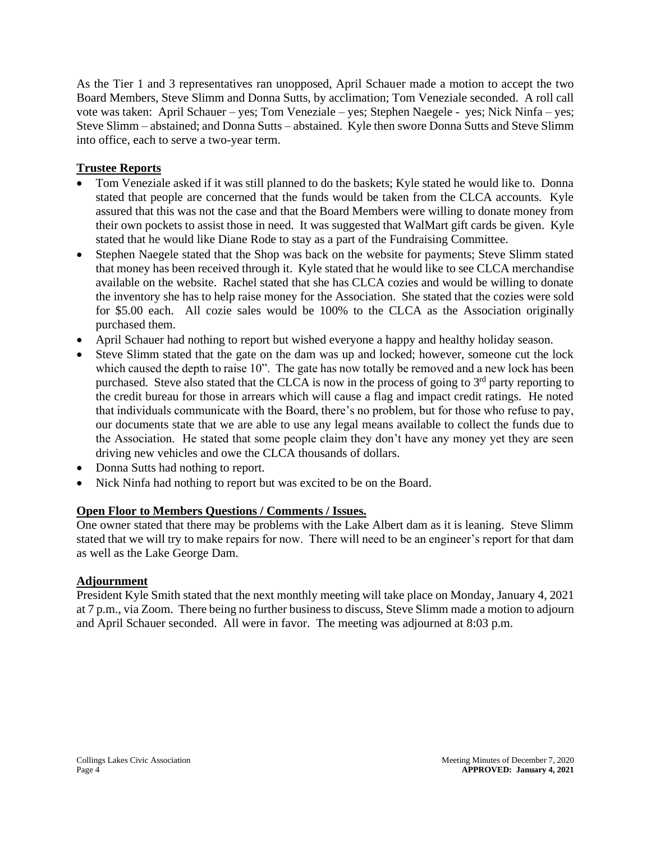As the Tier 1 and 3 representatives ran unopposed, April Schauer made a motion to accept the two Board Members, Steve Slimm and Donna Sutts, by acclimation; Tom Veneziale seconded. A roll call vote was taken: April Schauer – yes; Tom Veneziale – yes; Stephen Naegele - yes; Nick Ninfa – yes; Steve Slimm – abstained; and Donna Sutts – abstained. Kyle then swore Donna Sutts and Steve Slimm into office, each to serve a two-year term.

## **Trustee Reports**

- Tom Veneziale asked if it was still planned to do the baskets; Kyle stated he would like to. Donna stated that people are concerned that the funds would be taken from the CLCA accounts. Kyle assured that this was not the case and that the Board Members were willing to donate money from their own pockets to assist those in need. It was suggested that WalMart gift cards be given. Kyle stated that he would like Diane Rode to stay as a part of the Fundraising Committee.
- Stephen Naegele stated that the Shop was back on the website for payments; Steve Slimm stated that money has been received through it. Kyle stated that he would like to see CLCA merchandise available on the website. Rachel stated that she has CLCA cozies and would be willing to donate the inventory she has to help raise money for the Association. She stated that the cozies were sold for \$5.00 each. All cozie sales would be 100% to the CLCA as the Association originally purchased them.
- April Schauer had nothing to report but wished everyone a happy and healthy holiday season.
- Steve Slimm stated that the gate on the dam was up and locked; however, someone cut the lock which caused the depth to raise 10". The gate has now totally be removed and a new lock has been purchased. Steve also stated that the CLCA is now in the process of going to  $3<sup>rd</sup>$  party reporting to the credit bureau for those in arrears which will cause a flag and impact credit ratings. He noted that individuals communicate with the Board, there's no problem, but for those who refuse to pay, our documents state that we are able to use any legal means available to collect the funds due to the Association. He stated that some people claim they don't have any money yet they are seen driving new vehicles and owe the CLCA thousands of dollars.
- Donna Sutts had nothing to report.
- Nick Ninfa had nothing to report but was excited to be on the Board.

## **Open Floor to Members Questions / Comments / Issues.**

One owner stated that there may be problems with the Lake Albert dam as it is leaning. Steve Slimm stated that we will try to make repairs for now. There will need to be an engineer's report for that dam as well as the Lake George Dam.

### **Adjournment**

President Kyle Smith stated that the next monthly meeting will take place on Monday, January 4, 2021 at 7 p.m., via Zoom. There being no further business to discuss, Steve Slimm made a motion to adjourn and April Schauer seconded. All were in favor. The meeting was adjourned at 8:03 p.m.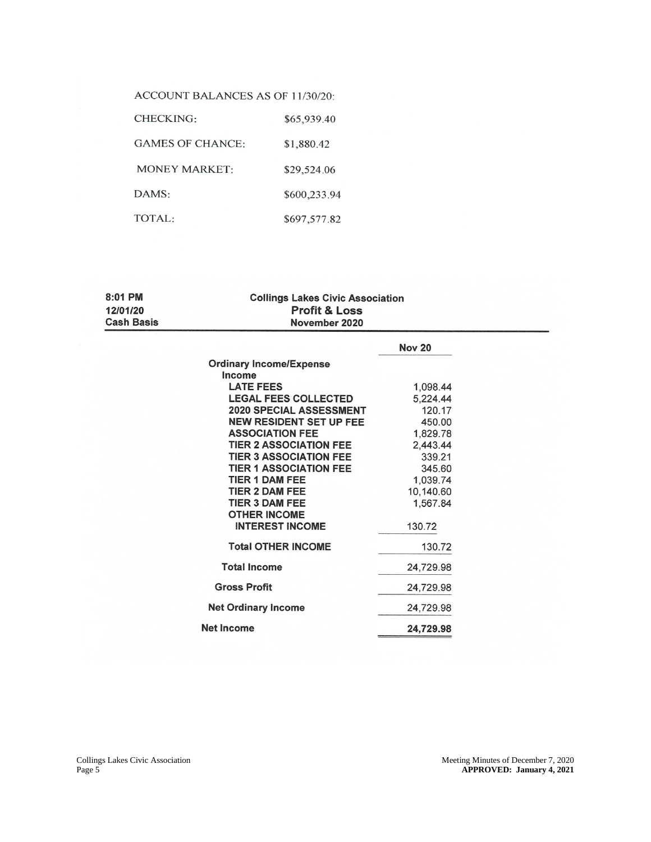| ACCOUNT BALANCES AS OF 11/30/20: |  |  |
|----------------------------------|--|--|
|----------------------------------|--|--|

| <b>CHECKING:</b>        | \$65,939.40  |
|-------------------------|--------------|
| <b>GAMES OF CHANCE:</b> | \$1,880.42   |
| <b>MONEY MARKET:</b>    | \$29,524.06  |
| DAMS:                   | \$600,233.94 |
| TOTAL:                  | \$697,577.82 |

| 8:01 PM           | <b>Collings Lakes Civic Association</b> |  |
|-------------------|-----------------------------------------|--|
| 12/01/20          | <b>Profit &amp; Loss</b>                |  |
| <b>Cash Basis</b> | November 2020                           |  |

|                                | <b>Nov 20</b> |
|--------------------------------|---------------|
| <b>Ordinary Income/Expense</b> |               |
| Income                         |               |
| <b>LATE FEES</b>               | 1,098.44      |
| <b>LEGAL FEES COLLECTED</b>    | 5,224.44      |
| 2020 SPECIAL ASSESSMENT        | 120.17        |
| <b>NEW RESIDENT SET UP FEE</b> | 450.00        |
| <b>ASSOCIATION FEE</b>         | 1,829.78      |
| <b>TIER 2 ASSOCIATION FEE</b>  | 2,443.44      |
| <b>TIER 3 ASSOCIATION FEE</b>  | 339.21        |
| <b>TIER 1 ASSOCIATION FEE</b>  | 345.60        |
| TIER 1 DAM FEE                 | 1,039.74      |
| <b>TIER 2 DAM FEE</b>          | 10,140.60     |
| <b>TIER 3 DAM FEE</b>          | 1,567.84      |
| <b>OTHER INCOME</b>            |               |
| <b>INTEREST INCOME</b>         | 130.72        |
| <b>Total OTHER INCOME</b>      | 130.72        |
| <b>Total Income</b>            | 24,729.98     |
| <b>Gross Profit</b>            | 24,729.98     |
| <b>Net Ordinary Income</b>     | 24,729.98     |
| <b>Net Income</b>              | 24,729.98     |